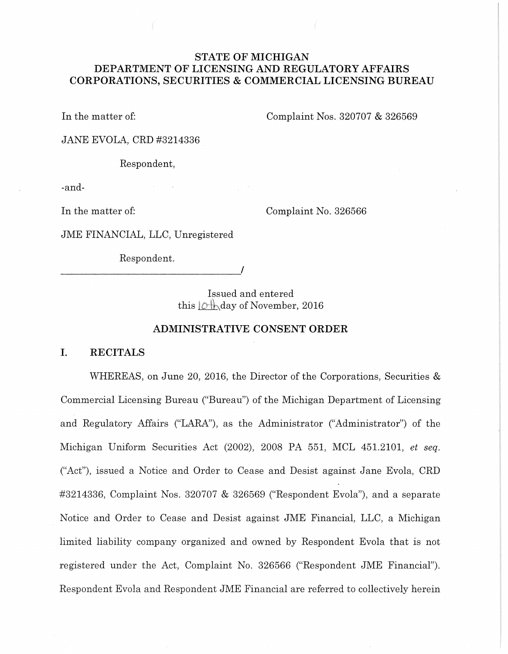# **STATE OF MICHIGAN DEPARTMENT OF LICENSING AND REGULATORY AFFAIRS CORPORATIONS, SECURITIES & COMMERCIAL LICENSING BUREAU**

In the matter of: Complaint Nos. 320707 & 326569

JANE EVOLA, CRD #3214336

Respondent,

-and-

In the matter of: Complaint No. 326566

JME FINANCIAL, LLC, Unregistered

Respondent.

----------------------------~'

Issued and entered this  $\Diamond \nparallel$  day of November, 2016

# **ADMINISTRATIVE CONSENT ORDER**

# **I. RECITALS**

WHEREAS, on June 20, 2016, the Director of the Corporations, Securities & Commercial Licensing Bureau ("Bureau") of the Michigan Department of Licensing and Regulatory Mfairs ("LARA''), as the Administrator ("Administrator") of the Michigan Uniform Securities Act (2002), 2008 PA 551, MCL 451.2101, *et seq.*  ("Act"), issued a Notice and Order to Cease and Desist against Jane Evola, CRD #3214336, Complaint Nos. 320707 & 326569 ("Respondent Evola"), and a separate Notice and Order to Cease and Desist against JME Financial, LLC, a Michigan limited liability company organized and owned by Respondent Evola that is not registered under the Act, Complaint No. 326566 ("Respondent JME Financial"). Respondent Evola and Respondent JME Financial are referred to collectively herein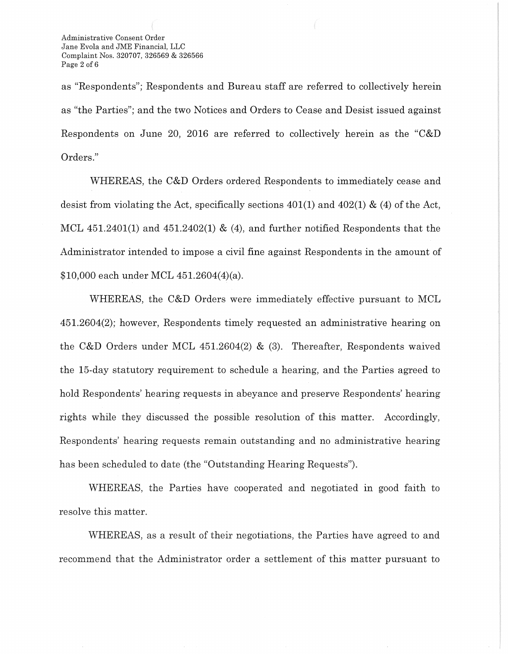as "Respondents"; Respondents and Bureau staff are referred to collectively herein as "the Parties"; and the two Notices and Orders to Cease and Desist issued against Respondents on June 20, 2016 are referred to collectively herein as the "C&D Orders."

WHEREAS, the C&D Orders ordered Respondents to immediately cease and desist from violating the Act, specifically sections  $401(1)$  and  $402(1)$  & (4) of the Act, MCL  $451.2401(1)$  and  $451.2402(1)$  & (4), and further notified Respondents that the Administrator intended to impose a civil fine against Respondents in the amount of \$10,000 each under MCL 451.2604(4)(a).

WHEREAS, the C&D Orders were immediately effective pursuant to MCL 451.2604(2); however, Respondents timely requested an administrative hearing on the C&D Orders under MCL 451.2604(2) & (3). Thereafter, Respondents waived the 15-day statutory requirement to schedule a hearing, and the Parties agreed to hold Respondents' hearing requests in abeyance and preserve Respondents' hearing rights while they discussed the possible resolution of this matter. Accordingly, Respondents' hearing requests remain outstanding and no administrative hearing has been scheduled to date (the "Outstanding Hearing Requests").

WHEREAS, the Parties have cooperated and negotiated in good faith to resolve this matter.

WHEREAS, as a result of their negotiations, the Parties have agreed to and recommend that the Administrator order a settlement of this matter pursuant to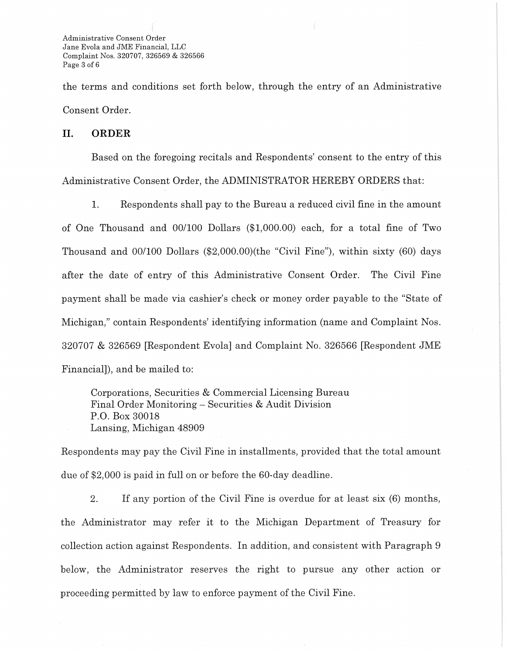Administrative Consent Order Jane Evola and JME Financial, LLC Complaint Nos. 320707, 326569 & 326566 Page 3 of 6

the terms and conditions set forth below, through the entry of an Administrative Consent Order.

#### II. **ORDER**

Based on the foregoing recitals and Respondents' consent to the entry of this Administrative Consent Order, the ADMINISTRATOR HEREBY ORDERS that:

1. Respondents shall pay to the Bureau a reduced civil fine in the amount of One Thousand and 00/100 Dollars (\$1,000.00) each, for a total fine of Two Thousand and 00/100 Dollars (\$2,000.00)(the "Civil Fine"), within sixty (60) days after the date of entry of this Administrative Consent Order. The Civil Fine payment shall be made via cashier's check or money order payable to the "State of Michigan," contain Respondents' identifying information (name and Complaint Nos. 320707 & 326569 [Respondent Evola] and Complaint No. 326566 [Respondent JME Financial]), and be mailed to:

Corporations, Securities & Commercial Licensing Bureau Final Order Monitoring- Securities & Audit Division P.O. Box 30018 Lansing, Michigan 48909

Respondents may pay the Civil Fine in installments, provided that the total amount due of \$2,000 is paid in full on or before the 60-day deadline.

2. If any portion of the Civil Fine is overdue for at least six (6) months, the Administrator may refer it to the Michigan Department of Treasury for collection action against Respondents. In addition, and consistent with Paragraph 9 below, the Administrator reserves the right to pursue any other action or proceeding permitted by law to enforce payment of the Civil Fine.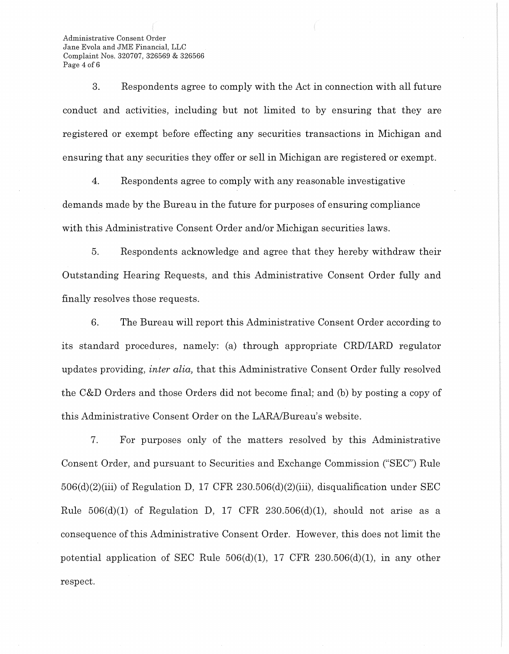Administrative Consent Order Jane Evola and JME Financial, LLC Complaint Nos. 320707, 326569 & 326566 Page 4 of 6

3. Respondents agree to comply with the Act in connection with all future conduct and activities, including but not limited to by ensuring that they are registered or exempt before effecting any securities transactions in Michigan and ensuring that any securities they offer or sell in Michigan are registered or exempt.

4. Respondents agree to comply with any reasonable investigative demands made by the Bureau in the future for purposes of ensuring compliance with this Administrative Consent Order and/or Michigan securities laws.

5. Respondents acknowledge and agree that they hereby withdraw their Outstanding Hearing Requests, and this Administrative Consent Order fully and finally resolves those requests.

6. The Bureau will report this Administrative Consent Order according to its standard procedures, namely: (a) through appropriate CRD/IARD regulator updates providing, *inter alia,* that this Administrative Consent Order fully resolved the C&D Orders and those Orders did not become final; and (b) by posting a copy of this Administrative Consent Order on the LARA/Bureau's website.

7. For purposes only of the matters resolved by this Administrative Consent Order, and pursuant to Securities and Exchange Commission ("SEC") Rule  $506(d)(2)(iii)$  of Regulation D, 17 CFR 230.506(d)(2)(iii), disqualification under SEC Rule  $506(d)(1)$  of Regulation D, 17 CFR 230.506(d)(1), should not arise as a consequence of this Administrative Consent Order. However, this does not limit the potential application of SEC Rule  $506(d)(1)$ , 17 CFR  $230.506(d)(1)$ , in any other respect.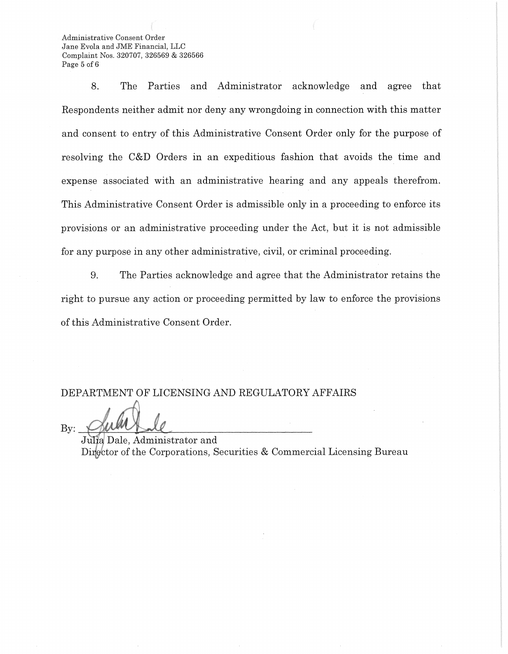Administrative Consent Order Jane Evola and JME Financial, LLC Complaint Nos. 320707, 326569 & 326566 Page 5 of 6

8. The Parties and Administrator acknowledge and agree that Respondents neither admit nor deny any wrongdoing in connection with this matter and consent to entry of this Administrative Consent Order only for the purpose of resolving the C&D Orders in an expeditious fashion that avoids the time and expense associated with an administrative hearing and any appeals therefrom. This Administrative Consent Order is admissible only in a proceeding to enforce its provisions or an administrative proceeding under the Act, but it is not admissible for any purpose in any other administrative, civil, or criminal proceeding.

9. The Parties acknowledge and agree that the Administrator retains the right to pursue any action or proceeding permitted by law to enforce the provisions of this Administrative Consent Order.

DEPARTMENT OF LICENSING AND REGULATORY AFFAIRS

By:

""

Julia Dale, Administrator and Director of the Corporations, Securities & Commercial Licensing Bureau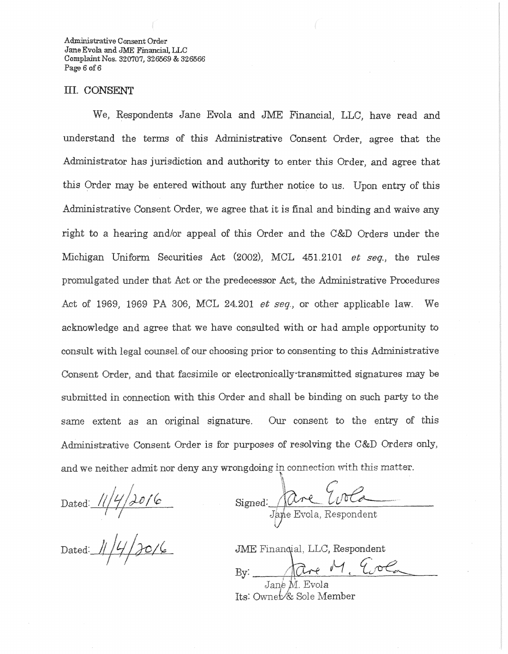Administrative Consent Order Jane Evola and JME Financial, LLC Complaint Nos. 320707, 326569 & 326566 Page 6 of 6

### III. CONSENT

We, Respondents Jane Evola and JME Financial, LLC, have read and understand the terms of this Administrative Consent Order, agree that the Administrator has jurisdiction and authority to enter this Order, and agree that this Order may be entered without any further notice to us. Upon entry of this Administrative Consent Order, we agree that it is final and binding and waive any right to a hearing and/or appeal of this Order and the C&D Orders under the Michigan Uniform Securities Act (2002), MCL 451.2101 *et seq.*, the rules promulgated under that Act or the predecessor Act, the Administrative Procedures Act of 1969, 1969 PA 306, MCL 24.201 *et seq.,* or other applicable law. We acknowledge and agree that we have consulted with or had ample opportunity to consult with legal counsel. of our choosing prior to consenting to this Administrative Consent Order, and that facsimile or electronical1y·transmitted signatures may be submitted in connection with this Order and shall be binding on such party to the same extent as an original signature. Our consent to the entry of this Administrative Consent Order is for purposes of resolving the C&D Orders only, and we neither admit nor deny any wrongdoing in connection with this matter.

Dated:

 $Dated: \frac{1}{4} \frac{1}{4} \frac{1}{20}$ 

',\ Signed: are Evola

JME Finanqial, LLC, Respondent

By: 1are M. Evol. Jan $\stackrel{.}{e}$ M. Evola  $\;$ 

Its: Ownet⁄& Sole Member

l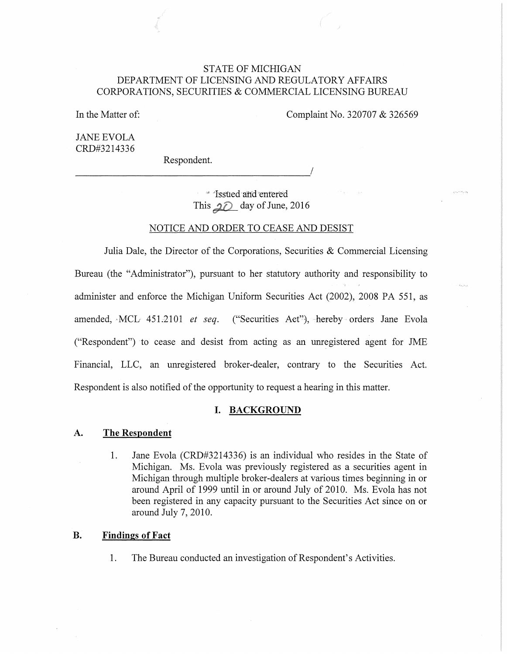# STATE OF MICHIGAN DEPARTMENT OF LICENSING AND REGULATORY AFFAIRS CORPORATIONS, SECURITIES & COMMERCIAL LICENSING BUREAU

In the Matter of:

Complaint No. 320707 & 326569

JANE EVOLA CRD#3214336

Respondent.

·Issued and 'entered This  $20$  day of June, 2016

# NOTICE AND ORDER TO CEASE AND DESIST

Julia Dale, the Director of the Corporations, Securities  $\&$  Commercial Licensing Bureau (the "Administrator"), pursuant to her statutory authority and responsibility to administer and enforce the Michigan Uniform Securities Act (2002), 2008 PA 551, as amended, ·MCL 45L2101 *et seq.* ("Securities Aet"), hereby orders Jane Evola ("Respondent") to cease and desist from acting as an umegistered agent for JME Financial, LLC, an umegistered broker-dealer, contrary to the Securities Act. Respondent is also notified of the opportunity to request a hearing in this matter.

# **I. BACKGROUND**

# A. **The Respondent**

1. Jane Evola (CRD#3214336) is an individual who resides in the State of Michigan. Ms. Evola was previously registered as a securities agent in Michigan through multiple broker-dealers at various times beginning in or around April of 1999 until in or around July of 2010. Ms. Evola has not been registered in any capacity pursuant to the Securities Act since on or around July 7, 2010.

# **B. Findings of Fact**

1. The Bureau conducted an investigation of Respondent's Activities.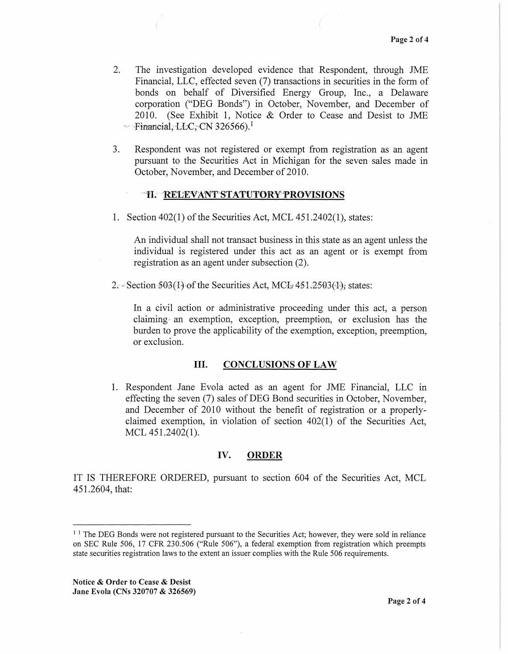- 2. The investigation developed evidence that Respondent, through JME Financial, LLC, effected seven (7) transactions in securities in the form of bonds on behalf of Diversified Energy Group, Inc., a Delaware corporation ("DEG Bonds") in October, November, and December of 2010. (See Exhibit 1, Notice & Order to Cease and Desist to JME •• Financial,  $\text{LLC}$ ; CN 326566).<sup>1</sup>
- 3. Respondent was not registered or exempt from registration as an agent pursuant to the Securities Act in Michigan for the seven sales made in October, November, and December of 2010.

#### fl.· RE'CEVANr'STATUTORY'PROVISIONS

1. Section 402(1) of the Securities Act, MCL 451.2402(1 ), states:

An individual shall not transact business in this state as an agent unless the individual is registered under this act as an agent or is exempt from registration as an agent under subsection (2).

2.  $\degree$  Section 503(1) of the Securities Act, MCL 451.2503(1): states:

In a civil action or administrative proceeding under this act, a person claiming an exemption, exception, preemption, or exclusion has the burden to prove the applicability of the exemption, exception, preemption, or exclusion.

# III. CONCLUSIONS OF LAW

1. Respondent Jane Evola acted as an agent for JME Financial, LLC in effecting the seven (7) sales of DEG Bond securities in October, November, and December of 2010 without the benefit of registration or a properlyclaimed exemption, in violation of section 402(1) of the Securities Act, MCL 451.2402(1).

#### IV. ORDER

IT IS THEREFORE ORDERED, pursuant to section 604 of the Securities Act, MCL 451.2604, that:

Notice & Order to Cease & Desist Jane Evola (CNs 320707 & 326569)

<sup>&</sup>lt;sup>1</sup> <sup>1</sup> The DEG Bonds were not registered pursuant to the Securities Act; however, they were sold in reliance on SEC Rule 506, 17 CFR 230.506 ("Rule 506"), a federal exemption from registration which preempts state securities registration laws to the extent an issuer complies with the Rule 506 requirements.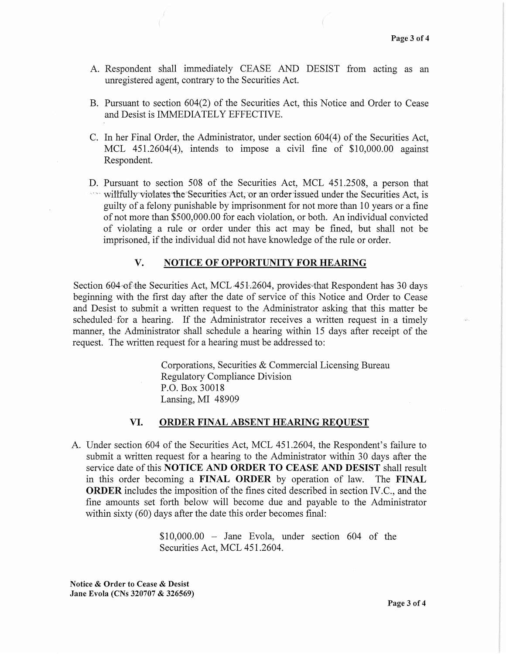- A. Respondent shall immediately CEASE AND DESIST from acting as an unregistered agent, contrary to the Securities Act.
- B. Pursuant to section 604(2) of the Securities Act, this Notice and Order to Cease and Desist is IMMEDIATELY EFFECTIVE.
- C. In her Final Order, the Administrator, under section 604(4) of the Securities Act, MCL 451.2604(4), intends to impose a civil fine of \$10,000.00 against Respondent.
- D. Pursuant to section 508 of the Securities Act, MCL 451.2508, a person that will fully violates the Securities Act, or an order issued under the Securities Act, is guilty of a felony punishable by imprisonment for not more than 10 years or a fine of not more than \$500,000.00 for each violation, or both. An individual convicted of violating a rule or order under this act may be fined, but shall not be imprisoned, if the individual did not have knowledge of the rule or order.

### V. NOTICE OF OPPORTUNITY FOR HEARING

Section 604-of the Securities Act, MCL  $451.2604$ , provides that Respondent has 30 days beginning with the first day after the date of service of this Notice and Order to Cease and Desist to submit a written request to the Administrator asking that this matter be scheduled for a hearing. If the Administrator receives a written request in a timely manner, the Administrator shall schedule a hearing within 15 days after receipt of the request. The written request for a hearing must be addressed to:

> Corporations, Securities & Commercial Licensing Bureau Regulatory Compliance Division P.O. Box 30018 Lansing, MI 48909

# VI. ORDER FINAL ABSENT HEARING REQUEST

A. Under section 604 of the Securities Act, MCL 451.2604, the Respondent's failure to submit a written request for a hearing to the Administrator within 30 days after the service date of this NOTICE AND ORDER TO CEASE AND DESIST shall result in this order becoming a FINAL ORDER by operation of law. The FINAL **ORDER** includes the imposition of the fines cited described in section IV.C., and the fine amounts set forth below will become due and payable to the Administrator within sixty (60) days after the date this order becomes final:

> $$10,000.00 - Jane Evola, under section 604 of the$ Securities Act, MCL 451.2604.

Notice & Order to Cease & Desist Jane Evola (CNs 320707 & 326569)